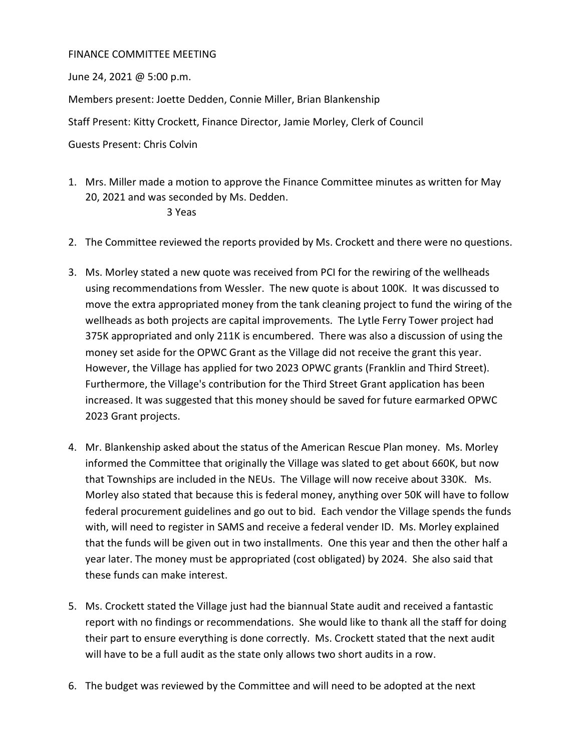## FINANCE COMMITTEE MEETING

June 24, 2021 @ 5:00 p.m.

Members present: Joette Dedden, Connie Miller, Brian Blankenship

Staff Present: Kitty Crockett, Finance Director, Jamie Morley, Clerk of Council

Guests Present: Chris Colvin

1. Mrs. Miller made a motion to approve the Finance Committee minutes as written for May 20, 2021 and was seconded by Ms. Dedden.

## 3 Yeas

- 2. The Committee reviewed the reports provided by Ms. Crockett and there were no questions.
- 3. Ms. Morley stated a new quote was received from PCI for the rewiring of the wellheads using recommendations from Wessler. The new quote is about 100K. It was discussed to move the extra appropriated money from the tank cleaning project to fund the wiring of the wellheads as both projects are capital improvements. The Lytle Ferry Tower project had 375K appropriated and only 211K is encumbered. There was also a discussion of using the money set aside for the OPWC Grant as the Village did not receive the grant this year. However, the Village has applied for two 2023 OPWC grants (Franklin and Third Street). Furthermore, the Village's contribution for the Third Street Grant application has been increased. It was suggested that this money should be saved for future earmarked OPWC 2023 Grant projects.
- 4. Mr. Blankenship asked about the status of the American Rescue Plan money. Ms. Morley informed the Committee that originally the Village was slated to get about 660K, but now that Townships are included in the NEUs. The Village will now receive about 330K. Ms. Morley also stated that because this is federal money, anything over 50K will have to follow federal procurement guidelines and go out to bid. Each vendor the Village spends the funds with, will need to register in SAMS and receive a federal vender ID. Ms. Morley explained that the funds will be given out in two installments. One this year and then the other half a year later. The money must be appropriated (cost obligated) by 2024. She also said that these funds can make interest.
- 5. Ms. Crockett stated the Village just had the biannual State audit and received a fantastic report with no findings or recommendations. She would like to thank all the staff for doing their part to ensure everything is done correctly. Ms. Crockett stated that the next audit will have to be a full audit as the state only allows two short audits in a row.
- 6. The budget was reviewed by the Committee and will need to be adopted at the next